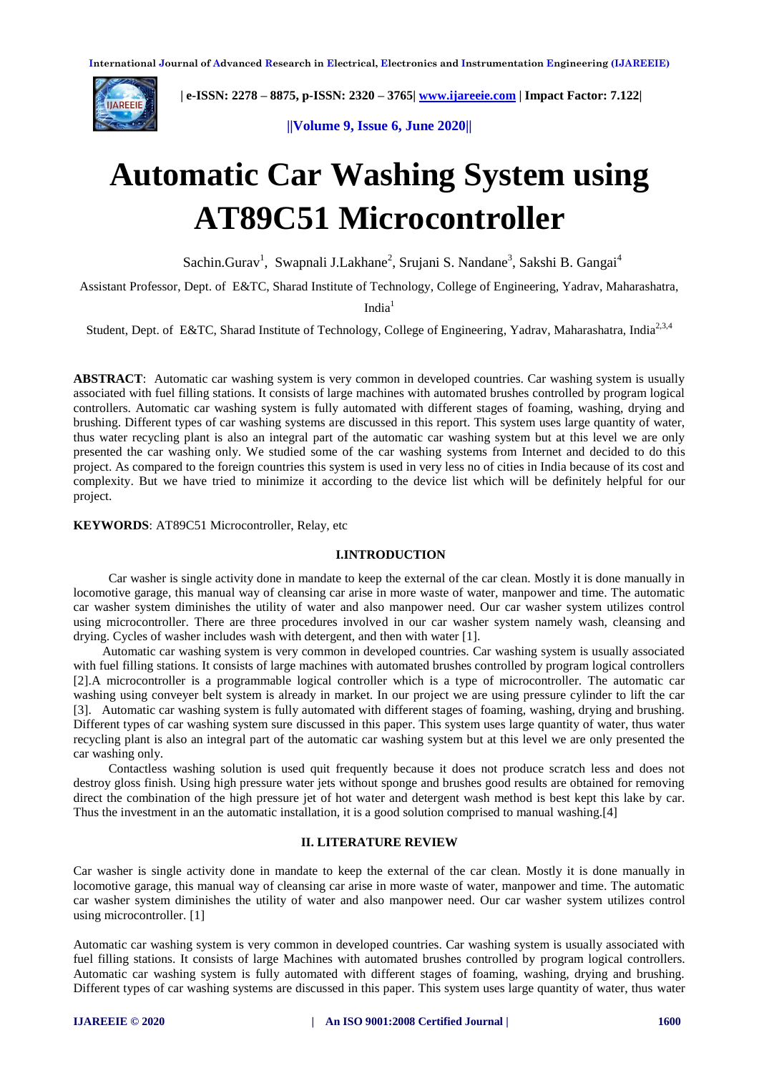

 **| e-ISSN: 2278 – 8875, p-ISSN: 2320 – 3765[| www.ijareeie.com](http://www.ijareeie.com/) | Impact Factor: 7.122|** 

**||Volume 9, Issue 6, June 2020||** 

# **Automatic Car Washing System using AT89C51 Microcontroller**

Sachin.Gurav<sup>1</sup>, Swapnali J.Lakhane<sup>2</sup>, Srujani S. Nandane<sup>3</sup>, Sakshi B. Gangai<sup>4</sup>

Assistant Professor, Dept. of E&TC, Sharad Institute of Technology, College of Engineering, Yadrav, Maharashatra,

 $India<sup>1</sup>$ 

Student, Dept. of E&TC, Sharad Institute of Technology, College of Engineering, Yadray, Maharashatra, India<sup>2,3,4</sup>

**ABSTRACT:** Automatic car washing system is very common in developed countries. Car washing system is usually associated with fuel filling stations. It consists of large machines with automated brushes controlled by program logical controllers. Automatic car washing system is fully automated with different stages of foaming, washing, drying and brushing. Different types of car washing systems are discussed in this report. This system uses large quantity of water, thus water recycling plant is also an integral part of the automatic car washing system but at this level we are only presented the car washing only. We studied some of the car washing systems from Internet and decided to do this project. As compared to the foreign countries this system is used in very less no of cities in India because of its cost and complexity. But we have tried to minimize it according to the device list which will be definitely helpful for our project.

**KEYWORDS**: AT89C51 Microcontroller, Relay, etc

## **I.INTRODUCTION**

 Car washer is single activity done in mandate to keep the external of the car clean. Mostly it is done manually in locomotive garage, this manual way of cleansing car arise in more waste of water, manpower and time. The automatic car washer system diminishes the utility of water and also manpower need. Our car washer system utilizes control using microcontroller. There are three procedures involved in our car washer system namely wash, cleansing and drying. Cycles of washer includes wash with detergent, and then with water [1].

 Automatic car washing system is very common in developed countries. Car washing system is usually associated with fuel filling stations. It consists of large machines with automated brushes controlled by program logical controllers [2].A microcontroller is a programmable logical controller which is a type of microcontroller. The automatic car washing using conveyer belt system is already in market. In our project we are using pressure cylinder to lift the car [3]. Automatic car washing system is fully automated with different stages of foaming, washing, drying and brushing. Different types of car washing system sure discussed in this paper. This system uses large quantity of water, thus water recycling plant is also an integral part of the automatic car washing system but at this level we are only presented the car washing only.

 Contactless washing solution is used quit frequently because it does not produce scratch less and does not destroy gloss finish. Using high pressure water jets without sponge and brushes good results are obtained for removing direct the combination of the high pressure jet of hot water and detergent wash method is best kept this lake by car. Thus the investment in an the automatic installation, it is a good solution comprised to manual washing.[4]

# **II. LITERATURE REVIEW**

Car washer is single activity done in mandate to keep the external of the car clean. Mostly it is done manually in locomotive garage, this manual way of cleansing car arise in more waste of water, manpower and time. The automatic car washer system diminishes the utility of water and also manpower need. Our car washer system utilizes control using microcontroller. [1]

Automatic car washing system is very common in developed countries. Car washing system is usually associated with fuel filling stations. It consists of large Machines with automated brushes controlled by program logical controllers. Automatic car washing system is fully automated with different stages of foaming, washing, drying and brushing. Different types of car washing systems are discussed in this paper. This system uses large quantity of water, thus water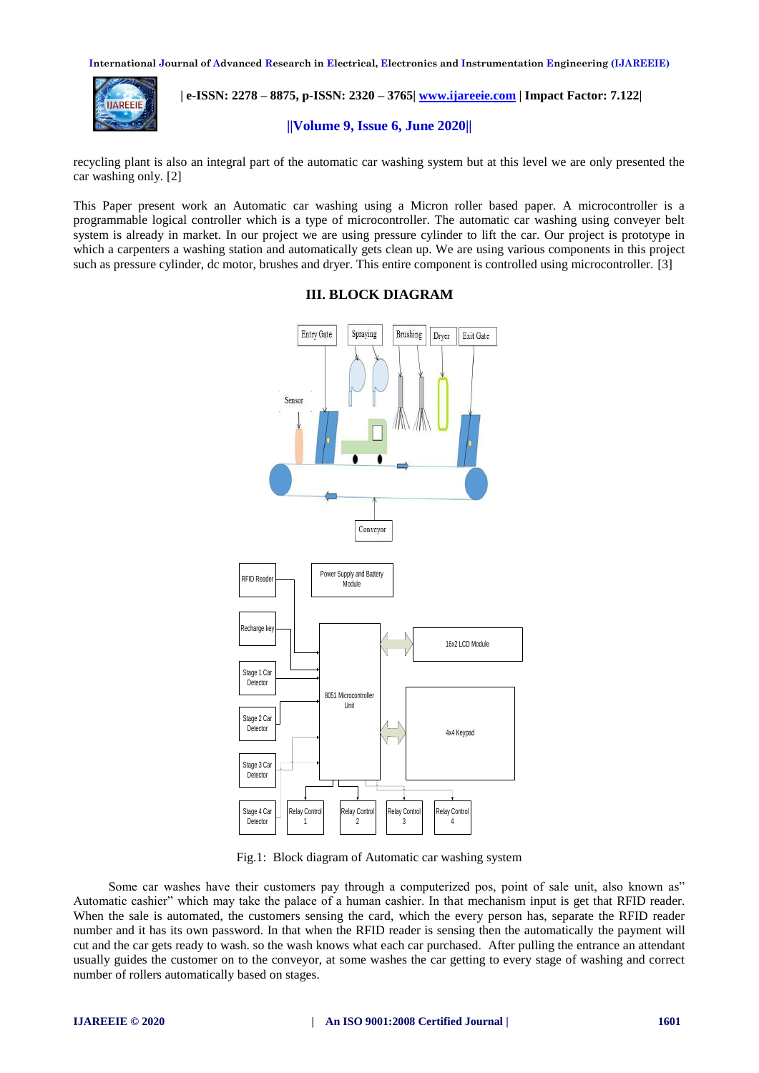**International Journal of Advanced Research in Electrical, Electronics and Instrumentation Engineering (IJAREEIE)** 



 **| e-ISSN: 2278 – 8875, p-ISSN: 2320 – 3765[| www.ijareeie.com](http://www.ijareeie.com/) | Impact Factor: 7.122|** 

#### **||Volume 9, Issue 6, June 2020||**

recycling plant is also an integral part of the automatic car washing system but at this level we are only presented the car washing only. [2]

This Paper present work an Automatic car washing using a Micron roller based paper. A microcontroller is a programmable logical controller which is a type of microcontroller. The automatic car washing using conveyer belt system is already in market. In our project we are using pressure cylinder to lift the car. Our project is prototype in which a carpenters a washing station and automatically gets clean up. We are using various components in this project such as pressure cylinder, dc motor, brushes and dryer. This entire component is controlled using microcontroller. [3]



#### **III. BLOCK DIAGRAM**

Fig.1: Block diagram of Automatic car washing system

 Some car washes have their customers pay through a computerized pos, point of sale unit, also known as" Automatic cashier" which may take the palace of a human cashier. In that mechanism input is get that RFID reader. When the sale is automated, the customers sensing the card, which the every person has, separate the RFID reader number and it has its own password. In that when the RFID reader is sensing then the automatically the payment will cut and the car gets ready to wash. so the wash knows what each car purchased. After pulling the entrance an attendant usually guides the customer on to the conveyor, at some washes the car getting to every stage of washing and correct number of rollers automatically based on stages.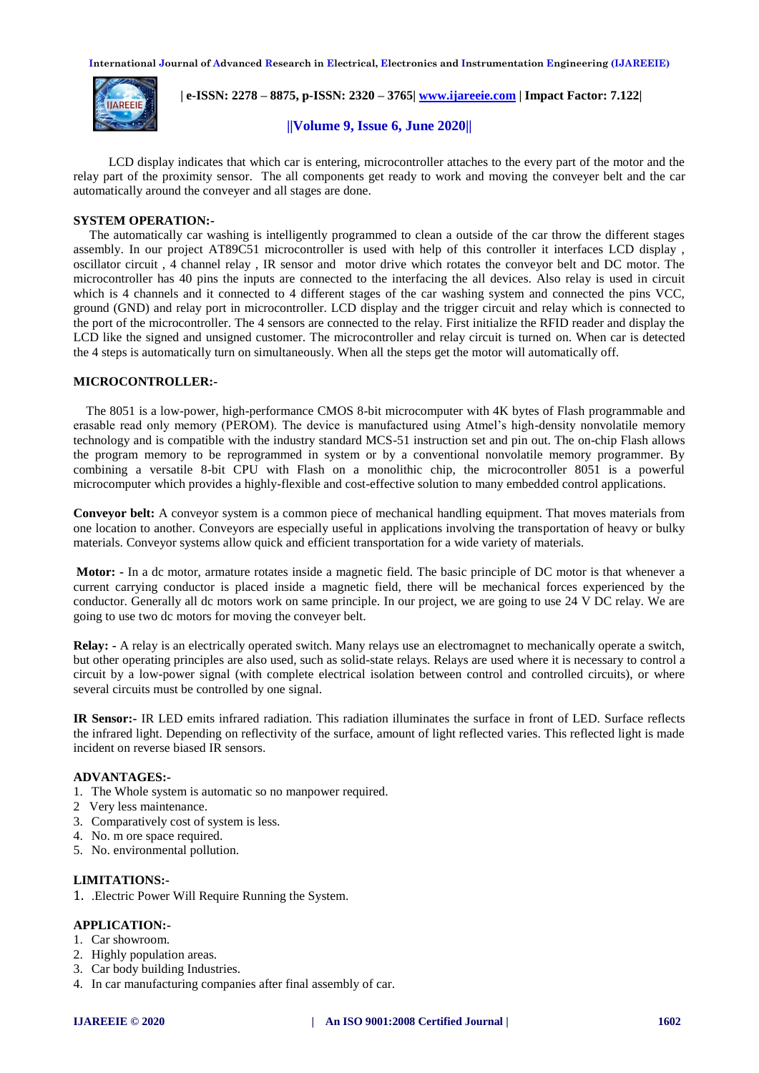**International Journal of Advanced Research in Electrical, Electronics and Instrumentation Engineering (IJAREEIE)** 



 **| e-ISSN: 2278 – 8875, p-ISSN: 2320 – 3765[| www.ijareeie.com](http://www.ijareeie.com/) | Impact Factor: 7.122|** 

# **||Volume 9, Issue 6, June 2020||**

LCD display indicates that which car is entering, microcontroller attaches to the every part of the motor and the relay part of the proximity sensor. The all components get ready to work and moving the conveyer belt and the car automatically around the conveyer and all stages are done.

## **SYSTEM OPERATION:-**

 The automatically car washing is intelligently programmed to clean a outside of the car throw the different stages assembly. In our project AT89C51 microcontroller is used with help of this controller it interfaces LCD display , oscillator circuit , 4 channel relay , IR sensor and motor drive which rotates the conveyor belt and DC motor. The microcontroller has 40 pins the inputs are connected to the interfacing the all devices. Also relay is used in circuit which is 4 channels and it connected to 4 different stages of the car washing system and connected the pins VCC, ground (GND) and relay port in microcontroller. LCD display and the trigger circuit and relay which is connected to the port of the microcontroller. The 4 sensors are connected to the relay. First initialize the RFID reader and display the LCD like the signed and unsigned customer. The microcontroller and relay circuit is turned on. When car is detected the 4 steps is automatically turn on simultaneously. When all the steps get the motor will automatically off.

## **MICROCONTROLLER:-**

 The 8051 is a low-power, high-performance CMOS 8-bit microcomputer with 4K bytes of Flash programmable and erasable read only memory (PEROM). The device is manufactured using Atmel's high-density nonvolatile memory technology and is compatible with the industry standard MCS-51 instruction set and pin out. The on-chip Flash allows the program memory to be reprogrammed in system or by a conventional nonvolatile memory programmer. By combining a versatile 8-bit CPU with Flash on a monolithic chip, the microcontroller 8051 is a powerful microcomputer which provides a highly-flexible and cost-effective solution to many embedded control applications.

**Conveyor belt:** A conveyor system is a common piece of mechanical handling equipment. That moves materials from one location to another. Conveyors are especially useful in applications involving the transportation of heavy or bulky materials. Conveyor systems allow quick and efficient transportation for a wide variety of materials.

**Motor: -** In a dc motor, armature rotates inside a magnetic field. The basic principle of DC motor is that whenever a current carrying conductor is placed inside a magnetic field, there will be mechanical forces experienced by the conductor. Generally all dc motors work on same principle. In our project, we are going to use 24 V DC relay. We are going to use two dc motors for moving the conveyer belt.

**Relay: -** A relay is an electrically operated switch. Many relays use an electromagnet to mechanically operate a switch, but other operating principles are also used, such as solid-state relays. Relays are used where it is necessary to control a circuit by a low-power signal (with complete electrical isolation between control and controlled circuits), or where several circuits must be controlled by one signal.

**IR Sensor:-** IR LED emits infrared radiation. This radiation illuminates the surface in front of LED. Surface reflects the infrared light. Depending on reflectivity of the surface, amount of light reflected varies. This reflected light is made incident on reverse biased IR sensors.

# **ADVANTAGES:-**

- 1. The Whole system is automatic so no manpower required.
- 2 Very less maintenance.
- 3. Comparatively cost of system is less.
- 4. No. m ore space required.
- 5. No. environmental pollution.

#### **LIMITATIONS:-**

1. .Electric Power Will Require Running the System.

## **APPLICATION:-**

- 1. Car showroom.
- 2. Highly population areas.
- 3. Car body building Industries.
- 4. In car manufacturing companies after final assembly of car.